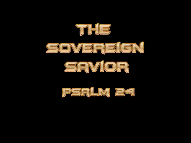





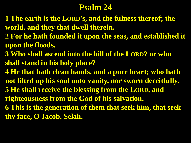## **Psalm 24**

- **1 The earth is the LORD's, and the fulness thereof; the world, and they that dwell therein.**
- **2 For he hath founded it upon the seas, and established it upon the floods.**
- **3 Who shall ascend into the hill of the LORD? or who shall stand in his holy place?**
- **4 He that hath clean hands, and a pure heart; who hath not lifted up his soul unto vanity, nor sworn deceitfully. 5 He shall receive the blessing from the LORD, and righteousness from the God of his salvation. 6 This is the generation of them that seek him, that seek thy face, O Jacob. Selah.**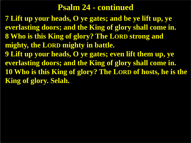## **Psalm 24 - continued**

**7 Lift up your heads, O ye gates; and be ye lift up, ye everlasting doors; and the King of glory shall come in. 8 Who is this King of glory? The LORD strong and mighty, the LORD mighty in battle. 9 Lift up your heads, O ye gates; even lift them up, ye everlasting doors; and the King of glory shall come in. 10 Who is this King of glory? The LORD of hosts, he is the King of glory. Selah.**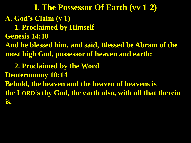**A. God's Claim (v 1) 1. Proclaimed by Himself Genesis 14:10 And he blessed him, and said, Blessed be Abram of the most high God, possessor of heaven and earth: 2. Proclaimed by the Word Deuteronomy 10:14 Behold, the heaven and the heaven of heavens is the LORD's thy God, the earth also, with all that therein is. I. The Possessor Of Earth (vv 1-2)**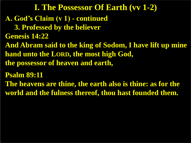**A. God's Claim (v 1) - continued 3. Professed by the believer Genesis 14:22 And Abram said to the king of Sodom, I have lift up mine hand unto the LORD, the most high God, the possessor of heaven and earth, Psalm 89:11 The heavens are thine, the earth also is thine: as for the world and the fulness thereof, thou hast founded them. I. The Possessor Of Earth (vv 1-2)**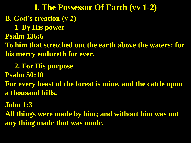**B. God's creation (v 2) 1. By His power Psalm 136:6 To him that stretched out the earth above the waters: for his mercy endureth for ever. 2. For His purpose Psalm 50:10 I. The Possessor Of Earth (vv 1-2)**

**For every beast of the forest is mine, and the cattle upon a thousand hills.**

**John 1:3**

**All things were made by him; and without him was not any thing made that was made.**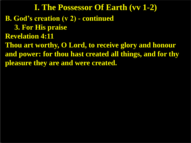**B. God's creation (v 2) - continued 3. For His praise Revelation 4:11 Thou art worthy, O Lord, to receive glory and honour and power: for thou hast created all things, and for thy pleasure they are and were created. I. The Possessor Of Earth (vv 1-2)**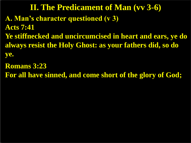**A. Man's character questioned (v 3) Acts 7:41 Ye stiffnecked and uncircumcised in heart and ears, ye do always resist the Holy Ghost: as your fathers did, so do ye. II. The Predicament of Man (vv 3-6)**

**Romans 3:23**

**For all have sinned, and come short of the glory of God;**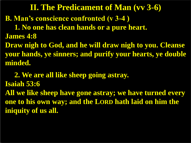**B. Man's conscience confronted (v 3-4 ) 1. No one has clean hands or a pure heart. James 4:8 Draw nigh to God, and he will draw nigh to you. Cleanse your hands, ye sinners; and purify your hearts, ye double minded. II. The Predicament of Man (vv 3-6)**

 **2. We are all like sheep going astray. Isaiah 53:6 All we like sheep have gone astray; we have turned every one to his own way; and the LORD hath laid on him the iniquity of us all.**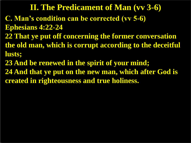**C. Man's condition can be corrected (vv 5-6) Ephesians 4:22-24 22 That ye put off concerning the former conversation the old man, which is corrupt according to the deceitful lusts; 23 And be renewed in the spirit of your mind; II. The Predicament of Man (vv 3-6)**

**24 And that ye put on the new man, which after God is created in righteousness and true holiness.**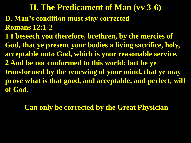**D. Man's condition must stay corrected Romans 12:1-2 1 I beseech you therefore, brethren, by the mercies of God, that ye present your bodies a living sacrifice, holy, acceptable unto God, which is your reasonable service. 2 And be not conformed to this world: but be ye transformed by the renewing of your mind, that ye may prove what is that good, and acceptable, and perfect, will of God. II. The Predicament of Man (vv 3-6)**

**Can only be corrected by the Great Physician**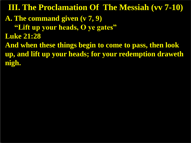**A. The command given (v 7, 9) "Lift up your heads, O ye gates" Luke 21:28 And when these things begin to come to pass, then look up, and lift up your heads; for your redemption draweth nigh. III. The Proclamation Of The Messiah (vv 7-10)**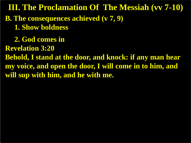**B. The consequences achieved (v 7, 9) 1. Show boldness 2. God comes in Revelation 3:20 Behold, I stand at the door, and knock: if any man hear my voice, and open the door, I will come in to him, and will sup with him, and he with me. III. The Proclamation Of The Messiah (vv 7-10)**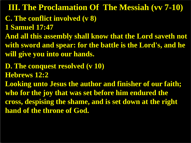**C. The conflict involved (v 8) 1 Samuel 17:47 And all this assembly shall know that the Lord saveth not with sword and spear: for the battle is the Lord's, and he will give you into our hands. D. The conquest resolved (v 10) Hebrews 12:2 Looking unto Jesus the author and finisher of our faith; who for the joy that was set before him endured the cross, despising the shame, and is set down at the right hand of the throne of God. III. The Proclamation Of The Messiah (vv 7-10)**